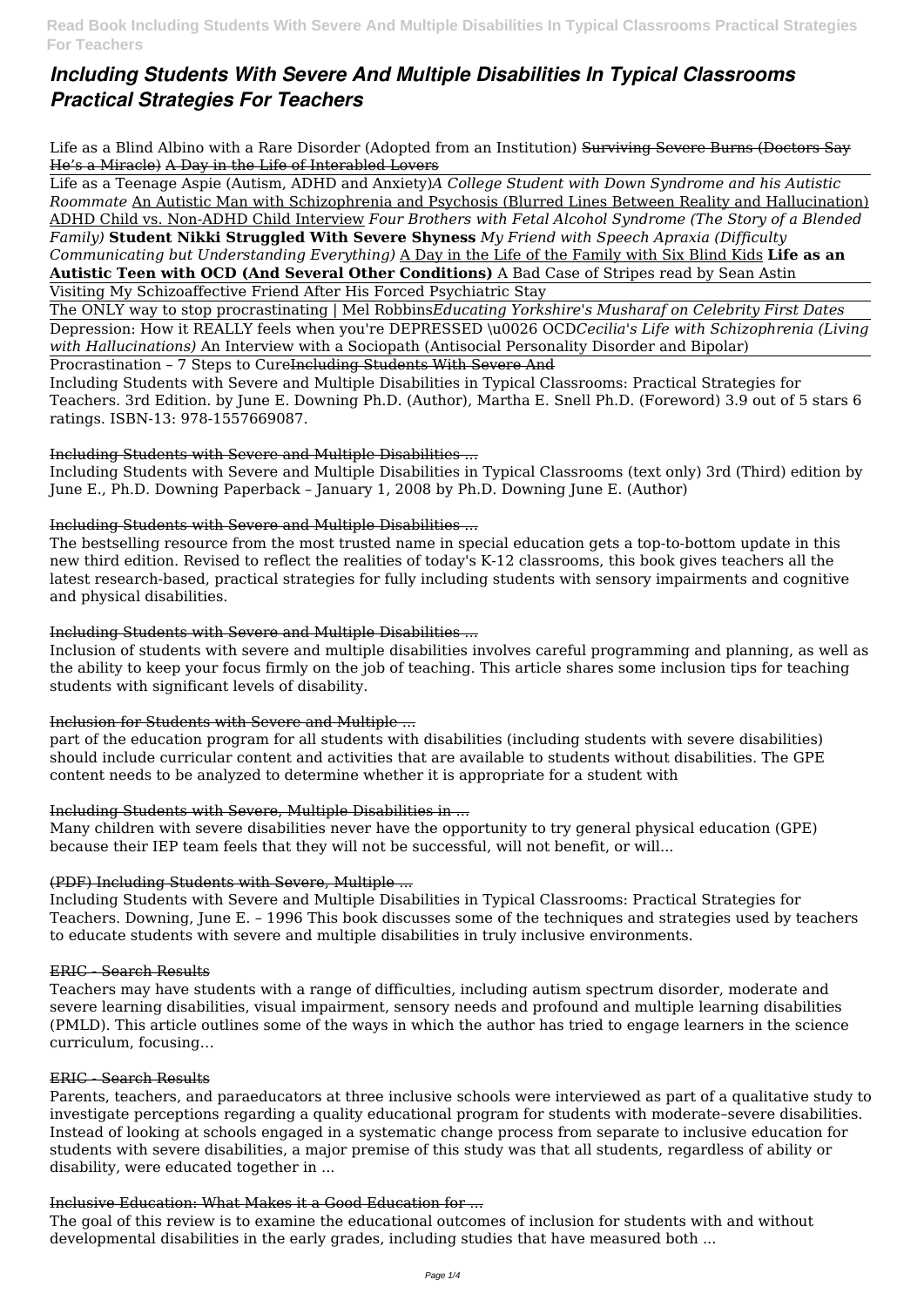# *Including Students With Severe And Multiple Disabilities In Typical Classrooms Practical Strategies For Teachers*

Life as a Blind Albino with a Rare Disorder (Adopted from an Institution) Surviving Severe Burns (Doctors Say He's a Miracle) A Day in the Life of Interabled Lovers

Life as a Teenage Aspie (Autism, ADHD and Anxiety)*A College Student with Down Syndrome and his Autistic Roommate* An Autistic Man with Schizophrenia and Psychosis (Blurred Lines Between Reality and Hallucination) ADHD Child vs. Non-ADHD Child Interview *Four Brothers with Fetal Alcohol Syndrome (The Story of a Blended Family)* **Student Nikki Struggled With Severe Shyness** *My Friend with Speech Apraxia (Difficulty Communicating but Understanding Everything)* A Day in the Life of the Family with Six Blind Kids **Life as an Autistic Teen with OCD (And Several Other Conditions)** A Bad Case of Stripes read by Sean Astin

Visiting My Schizoaffective Friend After His Forced Psychiatric Stay

The ONLY way to stop procrastinating | Mel Robbins*Educating Yorkshire's Musharaf on Celebrity First Dates* Depression: How it REALLY feels when you're DEPRESSED \u0026 OCD*Cecilia's Life with Schizophrenia (Living with Hallucinations)* An Interview with a Sociopath (Antisocial Personality Disorder and Bipolar)

#### Procrastination – 7 Steps to CureIncluding Students With Severe And

Including Students with Severe and Multiple Disabilities in Typical Classrooms: Practical Strategies for Teachers. 3rd Edition. by June E. Downing Ph.D. (Author), Martha E. Snell Ph.D. (Foreword) 3.9 out of 5 stars 6 ratings. ISBN-13: 978-1557669087.

#### Including Students with Severe and Multiple Disabilities ...

Including Students with Severe and Multiple Disabilities in Typical Classrooms (text only) 3rd (Third) edition by June E., Ph.D. Downing Paperback – January 1, 2008 by Ph.D. Downing June E. (Author)

# Including Students with Severe and Multiple Disabilities ...

The bestselling resource from the most trusted name in special education gets a top-to-bottom update in this new third edition. Revised to reflect the realities of today's K-12 classrooms, this book gives teachers all the latest research-based, practical strategies for fully including students with sensory impairments and cognitive and physical disabilities.

# Including Students with Severe and Multiple Disabilities ...

Inclusion of students with severe and multiple disabilities involves careful programming and planning, as well as the ability to keep your focus firmly on the job of teaching. This article shares some inclusion tips for teaching students with significant levels of disability.

#### Inclusion for Students with Severe and Multiple ...

part of the education program for all students with disabilities (including students with severe disabilities) should include curricular content and activities that are available to students without disabilities. The GPE content needs to be analyzed to determine whether it is appropriate for a student with

# Including Students with Severe, Multiple Disabilities in ...

Many children with severe disabilities never have the opportunity to try general physical education (GPE) because their IEP team feels that they will not be successful, will not benefit, or will...

# (PDF) Including Students with Severe, Multiple ...

Including Students with Severe and Multiple Disabilities in Typical Classrooms: Practical Strategies for Teachers. Downing, June E. – 1996 This book discusses some of the techniques and strategies used by teachers to educate students with severe and multiple disabilities in truly inclusive environments.

#### ERIC - Search Results

Teachers may have students with a range of difficulties, including autism spectrum disorder, moderate and severe learning disabilities, visual impairment, sensory needs and profound and multiple learning disabilities (PMLD). This article outlines some of the ways in which the author has tried to engage learners in the science curriculum, focusing…

#### ERIC - Search Results

Parents, teachers, and paraeducators at three inclusive schools were interviewed as part of a qualitative study to investigate perceptions regarding a quality educational program for students with moderate–severe disabilities. Instead of looking at schools engaged in a systematic change process from separate to inclusive education for students with severe disabilities, a major premise of this study was that all students, regardless of ability or disability, were educated together in ...

#### Inclusive Education: What Makes it a Good Education for ...

The goal of this review is to examine the educational outcomes of inclusion for students with and without developmental disabilities in the early grades, including studies that have measured both ...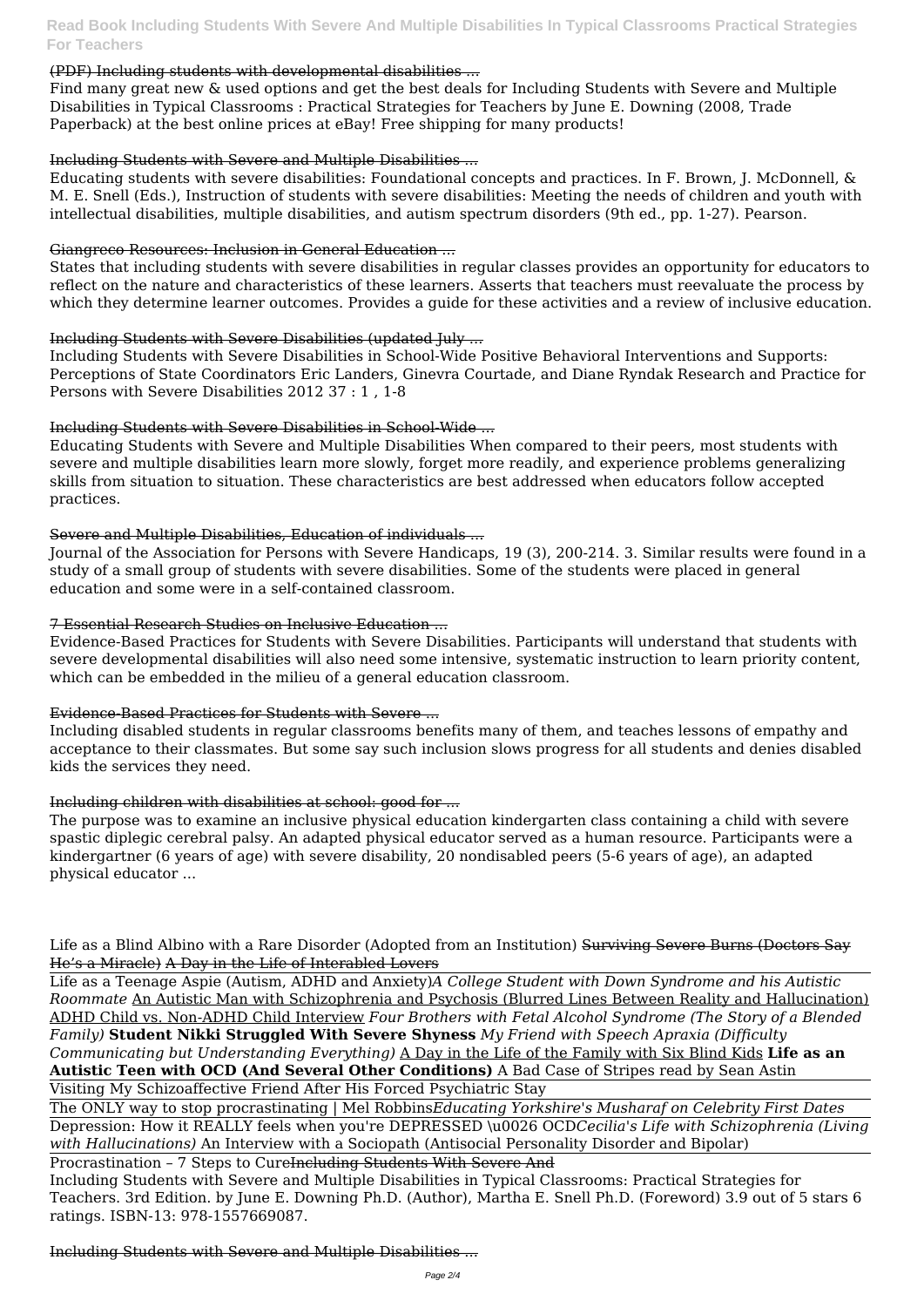#### (PDF) Including students with developmental disabilities ...

Find many great new & used options and get the best deals for Including Students with Severe and Multiple Disabilities in Typical Classrooms : Practical Strategies for Teachers by June E. Downing (2008, Trade Paperback) at the best online prices at eBay! Free shipping for many products!

States that including students with severe disabilities in regular classes provides an opportunity for educators to reflect on the nature and characteristics of these learners. Asserts that teachers must reevaluate the process by which they determine learner outcomes. Provides a guide for these activities and a review of inclusive education.

#### Including Students with Severe and Multiple Disabilities ...

Educating students with severe disabilities: Foundational concepts and practices. In F. Brown, J. McDonnell, & M. E. Snell (Eds.), Instruction of students with severe disabilities: Meeting the needs of children and youth with intellectual disabilities, multiple disabilities, and autism spectrum disorders (9th ed., pp. 1-27). Pearson.

#### Giangreco Resources: Inclusion in General Education ...

#### Including Students with Severe Disabilities (updated July ...

Including Students with Severe Disabilities in School-Wide Positive Behavioral Interventions and Supports: Perceptions of State Coordinators Eric Landers, Ginevra Courtade, and Diane Ryndak Research and Practice for Persons with Severe Disabilities 2012 37 : 1 , 1-8

#### Including Students with Severe Disabilities in School-Wide ...

Educating Students with Severe and Multiple Disabilities When compared to their peers, most students with severe and multiple disabilities learn more slowly, forget more readily, and experience problems generalizing skills from situation to situation. These characteristics are best addressed when educators follow accepted practices.

#### Severe and Multiple Disabilities, Education of individuals ...

Journal of the Association for Persons with Severe Handicaps, 19 (3), 200-214. 3. Similar results were found in a study of a small group of students with severe disabilities. Some of the students were placed in general education and some were in a self-contained classroom.

#### 7 Essential Research Studies on Inclusive Education ...

Evidence-Based Practices for Students with Severe Disabilities. Participants will understand that students with severe developmental disabilities will also need some intensive, systematic instruction to learn priority content, which can be embedded in the milieu of a general education classroom.

#### Evidence-Based Practices for Students with Severe ...

Including disabled students in regular classrooms benefits many of them, and teaches lessons of empathy and acceptance to their classmates. But some say such inclusion slows progress for all students and denies disabled kids the services they need.

#### Including children with disabilities at school: good for ...

The purpose was to examine an inclusive physical education kindergarten class containing a child with severe spastic diplegic cerebral palsy. An adapted physical educator served as a human resource. Participants were a kindergartner (6 years of age) with severe disability, 20 nondisabled peers (5-6 years of age), an adapted physical educator ...

Life as a Blind Albino with a Rare Disorder (Adopted from an Institution) Surviving Severe Burns (Doctors Say He's a Miracle) A Day in the Life of Interabled Lovers

Life as a Teenage Aspie (Autism, ADHD and Anxiety)*A College Student with Down Syndrome and his Autistic*

*Roommate* An Autistic Man with Schizophrenia and Psychosis (Blurred Lines Between Reality and Hallucination) ADHD Child vs. Non-ADHD Child Interview *Four Brothers with Fetal Alcohol Syndrome (The Story of a Blended Family)* **Student Nikki Struggled With Severe Shyness** *My Friend with Speech Apraxia (Difficulty Communicating but Understanding Everything)* A Day in the Life of the Family with Six Blind Kids **Life as an Autistic Teen with OCD (And Several Other Conditions)** A Bad Case of Stripes read by Sean Astin Visiting My Schizoaffective Friend After His Forced Psychiatric Stay The ONLY way to stop procrastinating | Mel Robbins*Educating Yorkshire's Musharaf on Celebrity First Dates* Depression: How it REALLY feels when you're DEPRESSED \u0026 OCD*Cecilia's Life with Schizophrenia (Living with Hallucinations)* An Interview with a Sociopath (Antisocial Personality Disorder and Bipolar) Procrastination – 7 Steps to CureIncluding Students With Severe And Including Students with Severe and Multiple Disabilities in Typical Classrooms: Practical Strategies for Teachers. 3rd Edition. by June E. Downing Ph.D. (Author), Martha E. Snell Ph.D. (Foreword) 3.9 out of 5 stars 6 ratings. ISBN-13: 978-1557669087.

Including Students with Severe and Multiple Disabilities ...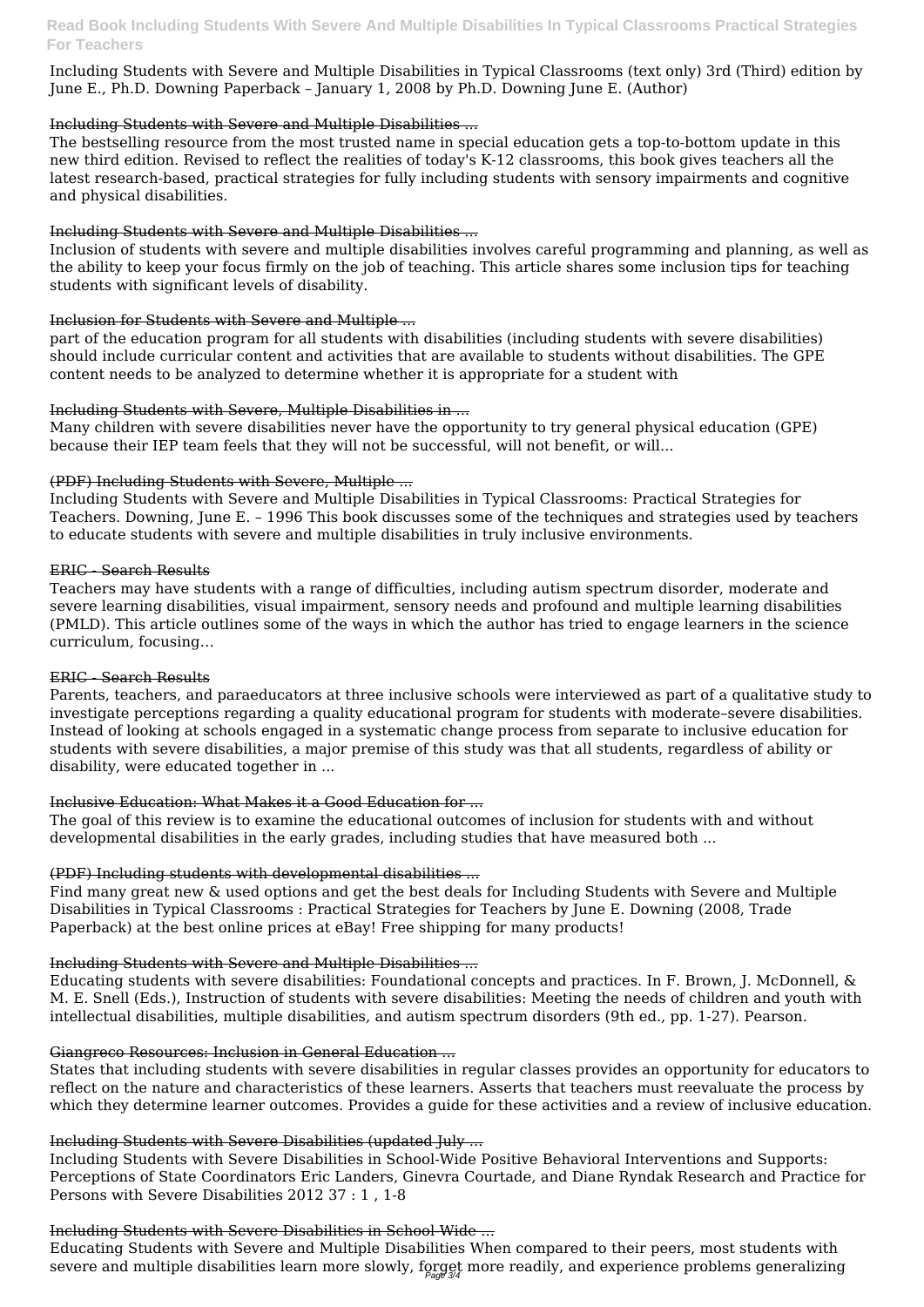Including Students with Severe and Multiple Disabilities in Typical Classrooms (text only) 3rd (Third) edition by June E., Ph.D. Downing Paperback – January 1, 2008 by Ph.D. Downing June E. (Author)

#### Including Students with Severe and Multiple Disabilities ...

The bestselling resource from the most trusted name in special education gets a top-to-bottom update in this new third edition. Revised to reflect the realities of today's K-12 classrooms, this book gives teachers all the latest research-based, practical strategies for fully including students with sensory impairments and cognitive and physical disabilities.

#### Including Students with Severe and Multiple Disabilities ...

Inclusion of students with severe and multiple disabilities involves careful programming and planning, as well as the ability to keep your focus firmly on the job of teaching. This article shares some inclusion tips for teaching students with significant levels of disability.

#### Inclusion for Students with Severe and Multiple ...

part of the education program for all students with disabilities (including students with severe disabilities) should include curricular content and activities that are available to students without disabilities. The GPE content needs to be analyzed to determine whether it is appropriate for a student with

#### Including Students with Severe, Multiple Disabilities in ...

Many children with severe disabilities never have the opportunity to try general physical education (GPE) because their IEP team feels that they will not be successful, will not benefit, or will...

#### (PDF) Including Students with Severe, Multiple ...

Including Students with Severe and Multiple Disabilities in Typical Classrooms: Practical Strategies for Teachers. Downing, June E. – 1996 This book discusses some of the techniques and strategies used by teachers to educate students with severe and multiple disabilities in truly inclusive environments.

States that including students with severe disabilities in regular classes provides an opportunity for educators to reflect on the nature and characteristics of these learners. Asserts that teachers must reevaluate the process by which they determine learner outcomes. Provides a guide for these activities and a review of inclusive education.

#### ERIC - Search Results

Teachers may have students with a range of difficulties, including autism spectrum disorder, moderate and severe learning disabilities, visual impairment, sensory needs and profound and multiple learning disabilities (PMLD). This article outlines some of the ways in which the author has tried to engage learners in the science curriculum, focusing…

Educating Students with Severe and Multiple Disabilities When compared to their peers, most students with severe and multiple disabilities learn more slowly, forget more readily, and experience problems generalizing

# ERIC - Search Results

Parents, teachers, and paraeducators at three inclusive schools were interviewed as part of a qualitative study to investigate perceptions regarding a quality educational program for students with moderate–severe disabilities. Instead of looking at schools engaged in a systematic change process from separate to inclusive education for students with severe disabilities, a major premise of this study was that all students, regardless of ability or disability, were educated together in ...

# Inclusive Education: What Makes it a Good Education for ...

The goal of this review is to examine the educational outcomes of inclusion for students with and without developmental disabilities in the early grades, including studies that have measured both ...

# (PDF) Including students with developmental disabilities ...

Find many great new & used options and get the best deals for Including Students with Severe and Multiple Disabilities in Typical Classrooms : Practical Strategies for Teachers by June E. Downing (2008, Trade Paperback) at the best online prices at eBay! Free shipping for many products!

# Including Students with Severe and Multiple Disabilities ...

Educating students with severe disabilities: Foundational concepts and practices. In F. Brown, J. McDonnell, &

M. E. Snell (Eds.), Instruction of students with severe disabilities: Meeting the needs of children and youth with intellectual disabilities, multiple disabilities, and autism spectrum disorders (9th ed., pp. 1-27). Pearson.

#### Giangreco Resources: Inclusion in General Education ...

#### Including Students with Severe Disabilities (updated July ...

Including Students with Severe Disabilities in School-Wide Positive Behavioral Interventions and Supports: Perceptions of State Coordinators Eric Landers, Ginevra Courtade, and Diane Ryndak Research and Practice for Persons with Severe Disabilities 2012 37 : 1 , 1-8

#### Including Students with Severe Disabilities in School-Wide ...